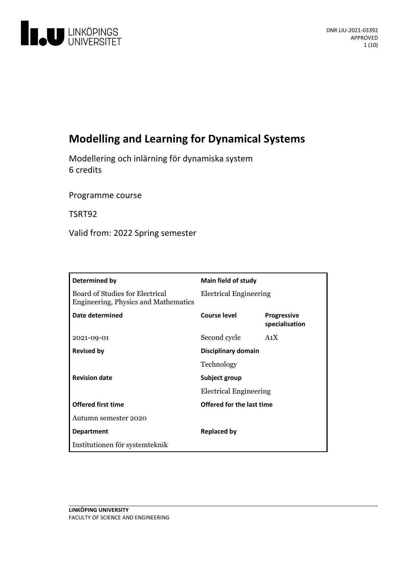

# **Modelling and Learning for Dynamical Systems**

Modellering och inlärning för dynamiska system 6 credits

Programme course

TSRT92

Valid from: 2022 Spring semester

| Determined by                                                                  | <b>Main field of study</b>    |                                      |
|--------------------------------------------------------------------------------|-------------------------------|--------------------------------------|
| Board of Studies for Electrical<br><b>Engineering, Physics and Mathematics</b> | <b>Electrical Engineering</b> |                                      |
| Date determined                                                                | Course level                  | <b>Progressive</b><br>specialisation |
| 2021-09-01                                                                     | Second cycle                  | A <sub>1</sub> X                     |
| <b>Revised by</b>                                                              | Disciplinary domain           |                                      |
|                                                                                | Technology                    |                                      |
| <b>Revision date</b>                                                           | Subject group                 |                                      |
|                                                                                | <b>Electrical Engineering</b> |                                      |
| <b>Offered first time</b>                                                      | Offered for the last time     |                                      |
| Autumn semester 2020                                                           |                               |                                      |
| <b>Department</b>                                                              | <b>Replaced by</b>            |                                      |
| Institutionen för systemteknik                                                 |                               |                                      |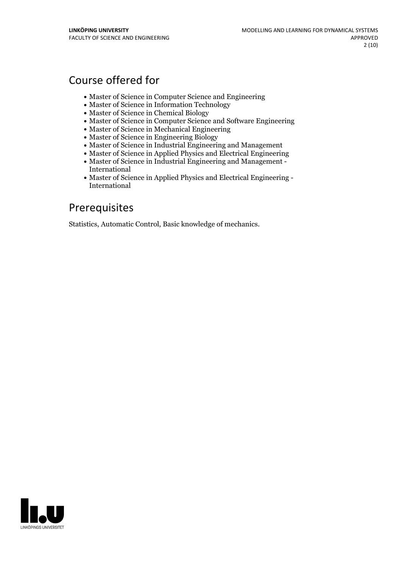## Course offered for

- Master of Science in Computer Science and Engineering
- Master of Science in Information Technology
- Master of Science in Chemical Biology
- Master of Science in Computer Science and Software Engineering
- Master of Science in Mechanical Engineering
- Master of Science in Engineering Biology
- Master of Science in Industrial Engineering and Management
- Master of Science in Applied Physics and Electrical Engineering
- Master of Science in Industrial Engineering and Management International
- Master of Science in Applied Physics and Electrical Engineering International

## Prerequisites

Statistics, Automatic Control, Basic knowledge of mechanics.

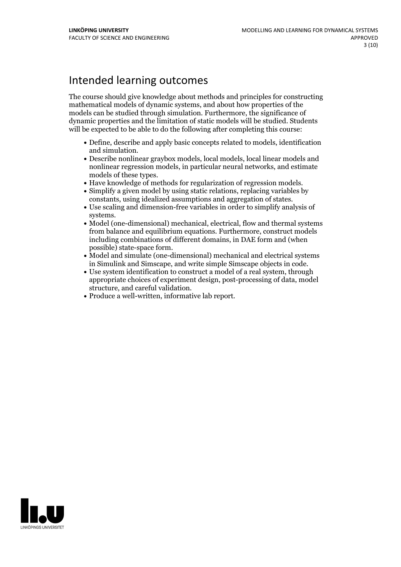## Intended learning outcomes

The course should give knowledge about methods and principles for constructing mathematical models of dynamic systems, and about how properties of the models can be studied through simulation. Furthermore, the significance of dynamic properties and the limitation of static models will be studied. Students will be expected to be able to do the following after completing this course:

- Define, describe and apply basic concepts related to models, identification and simulation.<br>• Describe nonlinear graybox models, local models, local linear models and
- nonlinear regression models, in particular neural networks, and estimate
- models of these types.<br>• Have knowledge of methods for regularization of regression models.<br>• Simplify a given model by using static relations, replacing variables by
- 
- constants, using idealized assumptions and aggregation of states. Use scaling and dimension-free variables in order to simplify analysis of
- systems.<br>• Model (one-dimensional) mechanical, electrical, flow and thermal systems from balance and equilibrium equations. Furthermore, construct models including combinations of different domains, in DAE form and (when
- possible) state-space form.<br>• Model and simulate (one-dimensional) mechanical and electrical systems<br>in Simulink and Simscape, and write simple Simscape objects in code.
- Use system identification to construct a model of a real system, through appropriate choices of experiment design, post-processing of data, model
- Produce a well-written, informative lab report.

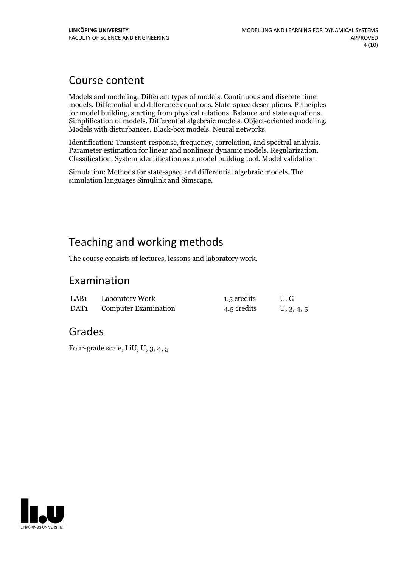## Course content

Models and modeling: Different types of models. Continuous and discrete time models. Differential and difference equations. State-space descriptions. Principles for model building, starting from physical relations. Balance and state equations.<br>Simplification of models. Differential algebraic models. Object-oriented modeling.<br>Models with disturbances. Black-box models. Neural netwo

Identification: Transient-response, frequency, correlation, and spectral analysis.<br>Parameter estimation for linear and nonlinear dynamic models. Regularization.<br>Classification. System identification as a model building too

Simulation: Methods for state-space and differential algebraic models. The simulation languages Simulink and Simscape.

# Teaching and working methods

The course consists of lectures, lessons and laboratory work.

## Examination

| LAB <sub>1</sub> | Laboratory Work             | 1.5 credits | U.G        |
|------------------|-----------------------------|-------------|------------|
| DAT1             | <b>Computer Examination</b> | 4.5 credits | U, 3, 4, 5 |

## Grades

Four-grade scale, LiU, U, 3, 4, 5

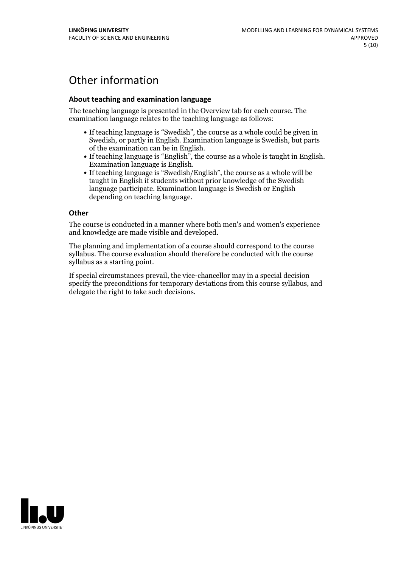# Other information

### **About teaching and examination language**

The teaching language is presented in the Overview tab for each course. The examination language relates to the teaching language as follows:

- If teaching language is "Swedish", the course as a whole could be given in Swedish, or partly in English. Examination language is Swedish, but parts
- of the examination can be in English. If teaching language is "English", the course as <sup>a</sup> whole is taught in English. Examination language is English. If teaching language is "Swedish/English", the course as <sup>a</sup> whole will be
- taught in English if students without prior knowledge of the Swedish language participate. Examination language is Swedish or English depending on teaching language.

#### **Other**

The course is conducted in a manner where both men's and women's experience and knowledge are made visible and developed.

The planning and implementation of a course should correspond to the course syllabus. The course evaluation should therefore be conducted with the course syllabus as a starting point.

If special circumstances prevail, the vice-chancellor may in a special decision specify the preconditions for temporary deviations from this course syllabus, and delegate the right to take such decisions.

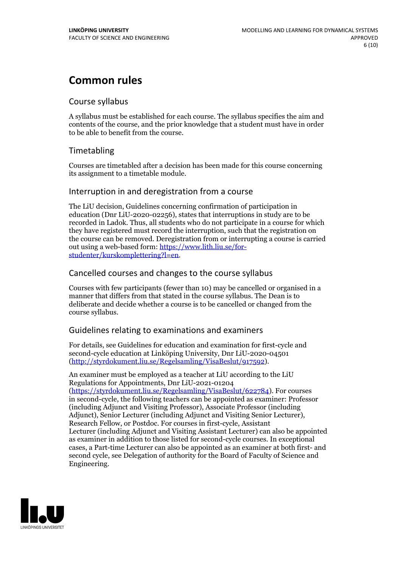## **Common rules**

## Course syllabus

A syllabus must be established for each course. The syllabus specifies the aim and contents of the course, and the prior knowledge that a student must have in order to be able to benefit from the course.

## Timetabling

Courses are timetabled after a decision has been made for this course concerning its assignment to a timetable module.

## Interruption in and deregistration from a course

The LiU decision, Guidelines concerning confirmation of participation in education (Dnr LiU-2020-02256), states that interruptions in study are to be recorded in Ladok. Thus, all students who do not participate in a course for which they have registered must record the interruption, such that the registration on the course can be removed. Deregistration from or interrupting a course is carried out using <sup>a</sup> web-based form: https://www.lith.liu.se/for- [studenter/kurskomplettering?l=en.](https://www.lith.liu.se/for-studenter/kurskomplettering?l=en)

## Cancelled coursesand changes to the course syllabus

Courses with few participants (fewer than 10) may be cancelled or organised in a manner that differs from that stated in the course syllabus. The Dean is to deliberate and decide whether a course is to be cancelled or changed from the course syllabus.

## Guidelines relating to examinations and examiners

For details, see Guidelines for education and examination for first-cycle and second-cycle education at Linköping University, Dnr LiU-2020-04501 [\(http://styrdokument.liu.se/Regelsamling/VisaBeslut/917592\)](http://styrdokument.liu.se/Regelsamling/VisaBeslut/917592).

An examiner must be employed as a teacher at LiU according to the LiU Regulations for Appointments, Dnr LiU-2021-01204 [\(https://styrdokument.liu.se/Regelsamling/VisaBeslut/622784](https://styrdokument.liu.se/Regelsamling/VisaBeslut/622784)). For courses in second-cycle, the following teachers can be appointed as examiner: Professor (including Adjunct and Visiting Professor), Associate Professor (including Adjunct), Senior Lecturer (including Adjunct and Visiting Senior Lecturer), Research Fellow, or Postdoc. For courses in first-cycle, Assistant Lecturer (including Adjunct and Visiting Assistant Lecturer) can also be appointed as examiner in addition to those listed for second-cycle courses. In exceptional cases, a Part-time Lecturer can also be appointed as an examiner at both first- and second cycle, see Delegation of authority for the Board of Faculty of Science and Engineering.

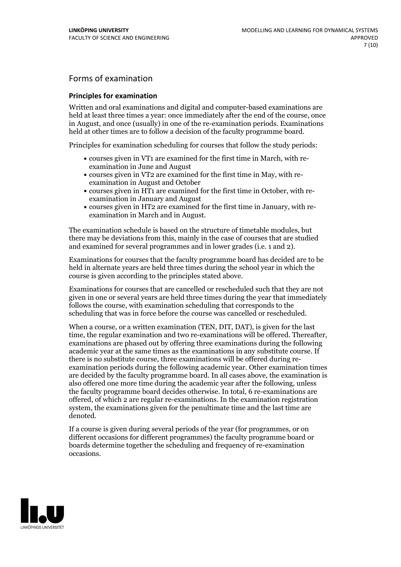## Forms of examination

#### **Principles for examination**

Written and oral examinations and digital and computer-based examinations are held at least three times a year: once immediately after the end of the course, once in August, and once (usually) in one of the re-examination periods. Examinations held at other times are to follow a decision of the faculty programme board.

Principles for examination scheduling for courses that follow the study periods:

- courses given in VT1 are examined for the first time in March, with re-examination in June and August
- courses given in VT2 are examined for the first time in May, with re-examination in August and October
- courses given in HT1 are examined for the first time in October, with re-examination in January and August
- courses given in HT2 are examined for the first time in January, with re-examination in March and in August.

The examination schedule is based on the structure of timetable modules, but there may be deviations from this, mainly in the case of courses that are studied and examined for several programmes and in lower grades (i.e. 1 and 2).

Examinations for courses that the faculty programme board has decided are to be held in alternate years are held three times during the school year in which the course is given according to the principles stated above.

Examinations for courses that are cancelled orrescheduled such that they are not given in one or several years are held three times during the year that immediately follows the course, with examination scheduling that corresponds to the scheduling that was in force before the course was cancelled or rescheduled.

When a course, or a written examination (TEN, DIT, DAT), is given for the last time, the regular examination and two re-examinations will be offered. Thereafter, examinations are phased out by offering three examinations during the following academic year at the same times as the examinations in any substitute course. If there is no substitute course, three examinations will be offered during re- examination periods during the following academic year. Other examination times are decided by the faculty programme board. In all cases above, the examination is also offered one more time during the academic year after the following, unless the faculty programme board decides otherwise. In total, 6 re-examinations are offered, of which 2 are regular re-examinations. In the examination registration system, the examinations given for the penultimate time and the last time are denoted.

If a course is given during several periods of the year (for programmes, or on different occasions for different programmes) the faculty programme board or boards determine together the scheduling and frequency of re-examination occasions.

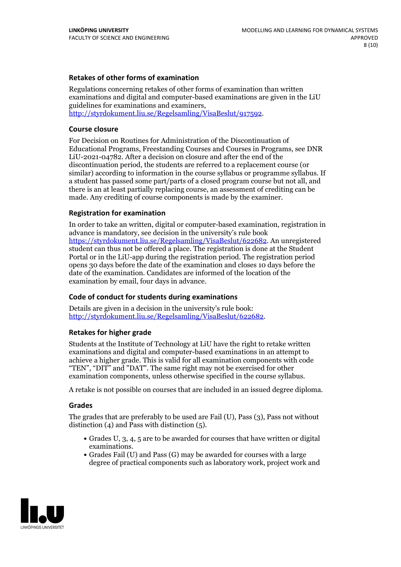### **Retakes of other forms of examination**

Regulations concerning retakes of other forms of examination than written examinations and digital and computer-based examinations are given in the LiU guidelines for examinations and examiners, [http://styrdokument.liu.se/Regelsamling/VisaBeslut/917592.](http://styrdokument.liu.se/Regelsamling/VisaBeslut/917592)

#### **Course closure**

For Decision on Routines for Administration of the Discontinuation of Educational Programs, Freestanding Courses and Courses in Programs, see DNR LiU-2021-04782. After a decision on closure and after the end of the discontinuation period, the students are referred to a replacement course (or similar) according to information in the course syllabus or programme syllabus. If a student has passed some part/parts of a closed program course but not all, and there is an at least partially replacing course, an assessment of crediting can be made. Any crediting of course components is made by the examiner.

### **Registration for examination**

In order to take an written, digital or computer-based examination, registration in advance is mandatory, see decision in the university's rule book [https://styrdokument.liu.se/Regelsamling/VisaBeslut/622682.](https://styrdokument.liu.se/Regelsamling/VisaBeslut/622682) An unregistered student can thus not be offered a place. The registration is done at the Student Portal or in the LiU-app during the registration period. The registration period opens 30 days before the date of the examination and closes 10 days before the date of the examination. Candidates are informed of the location of the examination by email, four days in advance.

### **Code of conduct for students during examinations**

Details are given in a decision in the university's rule book: <http://styrdokument.liu.se/Regelsamling/VisaBeslut/622682>.

#### **Retakes for higher grade**

Students at the Institute of Technology at LiU have the right to retake written examinations and digital and computer-based examinations in an attempt to achieve a higher grade. This is valid for all examination components with code "TEN", "DIT" and "DAT". The same right may not be exercised for other examination components, unless otherwise specified in the course syllabus.

A retake is not possible on courses that are included in an issued degree diploma.

#### **Grades**

The grades that are preferably to be used are Fail (U), Pass (3), Pass not without distinction  $(4)$  and Pass with distinction  $(5)$ .

- Grades U, 3, 4, 5 are to be awarded for courses that have written or digital examinations.<br>• Grades Fail (U) and Pass (G) may be awarded for courses with a large
- degree of practical components such as laboratory work, project work and

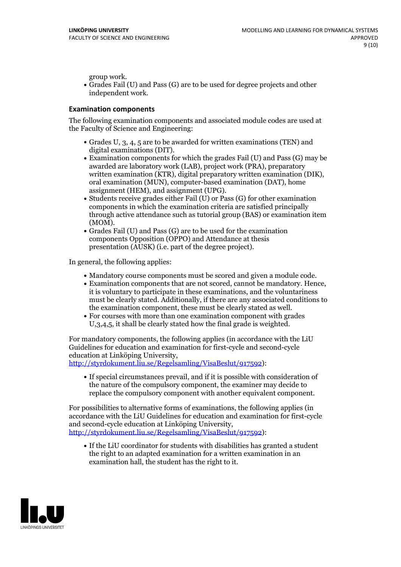group work.<br>• Grades Fail (U) and Pass (G) are to be used for degree projects and other independent work.

#### **Examination components**

The following examination components and associated module codes are used at the Faculty of Science and Engineering:

- Grades U, 3, 4, 5 are to be awarded for written examinations (TEN) and
- digital examinations (DIT).<br>• Examination components for which the grades Fail (U) and Pass (G) may be awarded are laboratory work (LAB), project work (PRA), preparatory written examination (KTR), digital preparatory written examination (DIK), oral examination (MUN), computer-based examination (DAT), home
- assignment (HEM), and assignment (UPG).<br>• Students receive grades either Fail (U) or Pass (G) for other examination components in which the examination criteria are satisfied principally through active attendance such as tutorial group (BAS) or examination item
- (MOM).<br>• Grades Fail (U) and Pass (G) are to be used for the examination components Opposition (OPPO) and Attendance at thesis presentation (AUSK) (i.e. part of the degree project).

In general, the following applies:

- 
- Mandatory course components must be scored and given <sup>a</sup> module code. Examination components that are not scored, cannot be mandatory. Hence, it is voluntary to participate in these examinations, and the voluntariness must be clearly stated. Additionally, if there are any associated conditions to
- the examination component, these must be clearly stated as well.<br>• For courses with more than one examination component with grades U,3,4,5, it shall be clearly stated how the final grade is weighted.

For mandatory components, the following applies (in accordance with the LiU Guidelines for education and examination for first-cycle and second-cycle

[http://styrdokument.liu.se/Regelsamling/VisaBeslut/917592\)](http://styrdokument.liu.se/Regelsamling/VisaBeslut/917592):

If special circumstances prevail, and if it is possible with consideration of the nature of the compulsory component, the examiner may decide to replace the compulsory component with another equivalent component.

For possibilities to alternative forms of examinations, the following applies (in accordance with the LiU Guidelines for education and examination for first-cycle [http://styrdokument.liu.se/Regelsamling/VisaBeslut/917592\)](http://styrdokument.liu.se/Regelsamling/VisaBeslut/917592):

If the LiU coordinator for students with disabilities has granted a student the right to an adapted examination for a written examination in an examination hall, the student has the right to it.